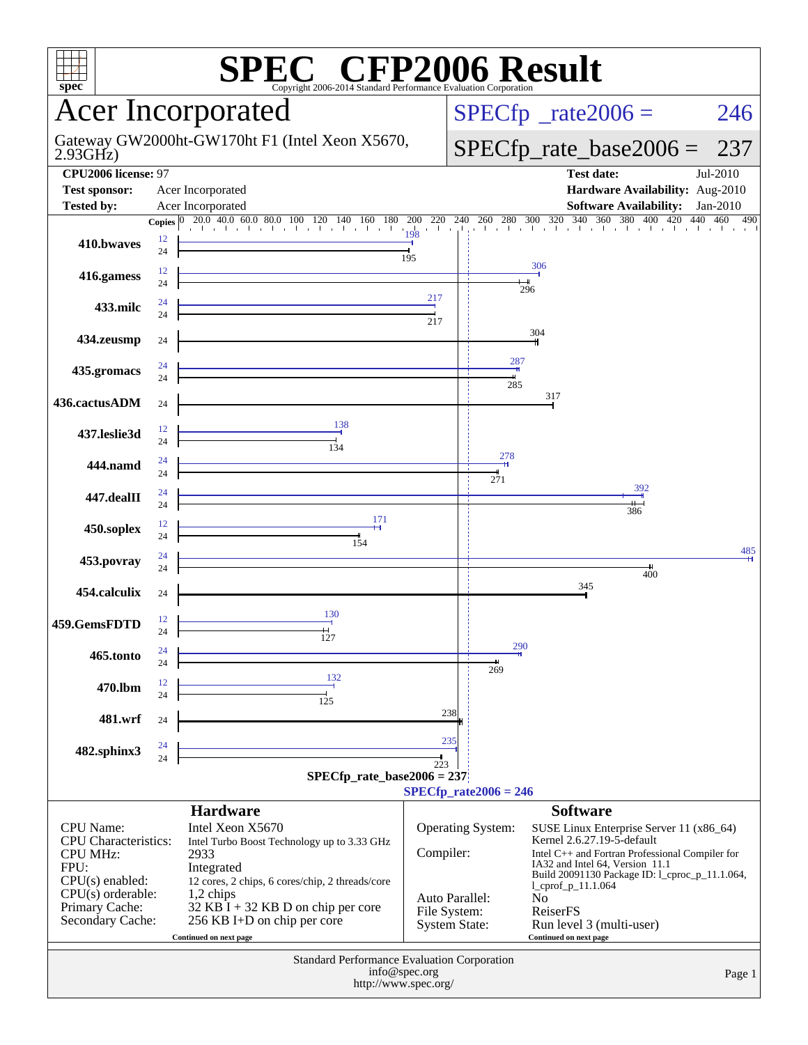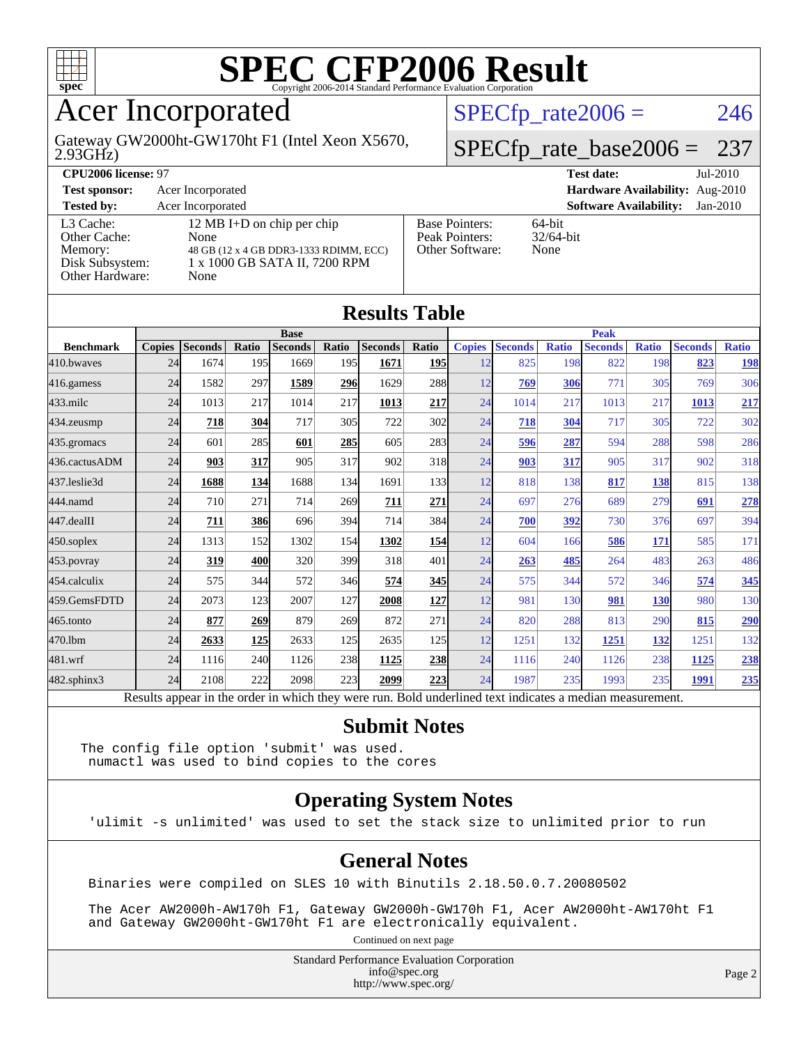

### Acer Incorporated

2.93GHz) Gateway GW2000ht-GW170ht F1 (Intel Xeon X5670,  $SPECTp_rate2006 = 246$ 

### [SPECfp\\_rate\\_base2006 =](http://www.spec.org/auto/cpu2006/Docs/result-fields.html#SPECfpratebase2006) 237

| CPU <sub>2006</sub> license: 97                                            |                                                                                                                       |                                                            | $Jul-2010$<br><b>Test date:</b>             |
|----------------------------------------------------------------------------|-----------------------------------------------------------------------------------------------------------------------|------------------------------------------------------------|---------------------------------------------|
| <b>Test sponsor:</b>                                                       | Acer Incorporated                                                                                                     |                                                            | Hardware Availability: Aug-2010             |
| <b>Tested by:</b>                                                          | Acer Incorporated                                                                                                     |                                                            | <b>Software Availability:</b><br>$Jan-2010$ |
| L3 Cache:<br>Other Cache:<br>Memory:<br>Disk Subsystem:<br>Other Hardware: | 12 MB I+D on chip per chip<br>None<br>48 GB (12 x 4 GB DDR3-1333 RDIMM, ECC)<br>1 x 1000 GB SATA II, 7200 RPM<br>None | <b>Base Pointers:</b><br>Peak Pointers:<br>Other Software: | $64$ -bit<br>$32/64$ -bit<br>None           |

**[Results Table](http://www.spec.org/auto/cpu2006/Docs/result-fields.html#ResultsTable)**

| Results Table    |               |                                                                                                          |            |                |            |                |             |               |                |              |                |              |                |              |
|------------------|---------------|----------------------------------------------------------------------------------------------------------|------------|----------------|------------|----------------|-------------|---------------|----------------|--------------|----------------|--------------|----------------|--------------|
|                  | <b>Base</b>   |                                                                                                          |            |                |            |                | <b>Peak</b> |               |                |              |                |              |                |              |
| <b>Benchmark</b> | <b>Copies</b> | <b>Seconds</b>                                                                                           | Ratio      | <b>Seconds</b> | Ratio      | <b>Seconds</b> | Ratio       | <b>Copies</b> | <b>Seconds</b> | <b>Ratio</b> | <b>Seconds</b> | <b>Ratio</b> | <b>Seconds</b> | <b>Ratio</b> |
| 410.bwayes       | 24            | 1674                                                                                                     | 195        | 1669           | <b>195</b> | 1671           | <u>195</u>  | 12            | 825            | 198          | 822            | 198          | 823            | <u>198</u>   |
| 416.gamess       | 24            | 1582                                                                                                     | 297        | 1589           | 296        | 1629           | 288         | 12            | 769            | 306          | 771            | 305          | 769            | 306          |
| $433$ .milc      | 24            | 1013                                                                                                     | 217        | 1014           | 217        | 1013           | 217         | 24            | 1014           | 217          | 1013           | 217          | 1013           | 217          |
| 434.zeusmp       | 24            | 718                                                                                                      | 304        | 717            | 305        | 722            | 302         | 24            | 718            | 304          | 717            | 305          | 722            | 302          |
| 435.gromacs      | 24            | 601                                                                                                      | 285        | 601            | 285        | 605            | 283         | 24            | 596            | 287          | 594            | 288          | 598            | 286          |
| 436.cactusADM    | 24            | 903                                                                                                      | 317        | 905            | 317        | 902            | 318         | 24            | 903            | 317          | 905            | 317          | 902            | 318          |
| 437.leslie3d     | 24            | 1688                                                                                                     | <u>134</u> | 1688           | 134        | 1691           | 133         | 12            | 818            | 138          | 817            | 138          | 815            | 138          |
| 444.namd         | 24            | 710                                                                                                      | 271        | 714            | 269        | 711            | 271         | 24            | 697            | 276          | 689            | 279          | 691            | 278          |
| 447.dealII       | 24            | 711                                                                                                      | 386        | 696            | 394        | 714            | 384         | 24            | 700            | 392          | 730            | 376          | 697            | 394          |
| $450$ .soplex    | 24            | 1313                                                                                                     | 152        | 1302           | 154        | 1302           | <u>154</u>  | 12            | 604            | 166          | 586            | <u>171</u>   | 585            | 171          |
| $453$ .povray    | 24            | 319                                                                                                      | 400        | 320            | 399        | 318            | 401         | 24            | 263            | 485          | 264            | 483          | 263            | 486          |
| 454.calculix     | 24            | 575                                                                                                      | 344        | 572            | 346        | 574            | 345         | 24            | 575            | 344          | 572            | 346          | 574            | 345          |
| 459.GemsFDTD     | 24            | 2073                                                                                                     | 123        | 2007           | 127        | 2008           | 127         | 12            | 981            | 130          | 981            | <b>130</b>   | 980            | 130          |
| 465.tonto        | 24            | 877                                                                                                      | 269        | 879            | 269        | 872            | 271         | 24            | 820            | 288          | 813            | 290          | 815            | 290          |
| 470.1bm          | 24            | 2633                                                                                                     | <b>125</b> | 2633           | 125        | 2635           | 125         | 12            | 1251           | 132          | 1251           | 132          | 1251           | 132          |
| 481.wrf          | 24            | 1116                                                                                                     | 240        | 1126           | 238        | 1125           | 238         | 24            | 1116           | 240          | 1126           | 238          | 1125           | 238          |
| 482.sphinx3      | 24            | 2108                                                                                                     | 222        | 2098           | 223        | 2099           | 223         | 24            | 1987           | 235          | 1993           | 235          | 1991           | 235          |
|                  |               | Results appear in the order in which they were run. Bold underlined text indicates a median measurement. |            |                |            |                |             |               |                |              |                |              |                |              |

#### **[Submit Notes](http://www.spec.org/auto/cpu2006/Docs/result-fields.html#SubmitNotes)**

The config file option 'submit' was used. numactl was used to bind copies to the cores

### **[Operating System Notes](http://www.spec.org/auto/cpu2006/Docs/result-fields.html#OperatingSystemNotes)**

'ulimit -s unlimited' was used to set the stack size to unlimited prior to run

#### **[General Notes](http://www.spec.org/auto/cpu2006/Docs/result-fields.html#GeneralNotes)**

Binaries were compiled on SLES 10 with Binutils 2.18.50.0.7.20080502

 The Acer AW2000h-AW170h F1, Gateway GW2000h-GW170h F1, Acer AW2000ht-AW170ht F1 and Gateway GW2000ht-GW170ht F1 are electronically equivalent.

Continued on next page

Standard Performance Evaluation Corporation [info@spec.org](mailto:info@spec.org) <http://www.spec.org/>

Page 2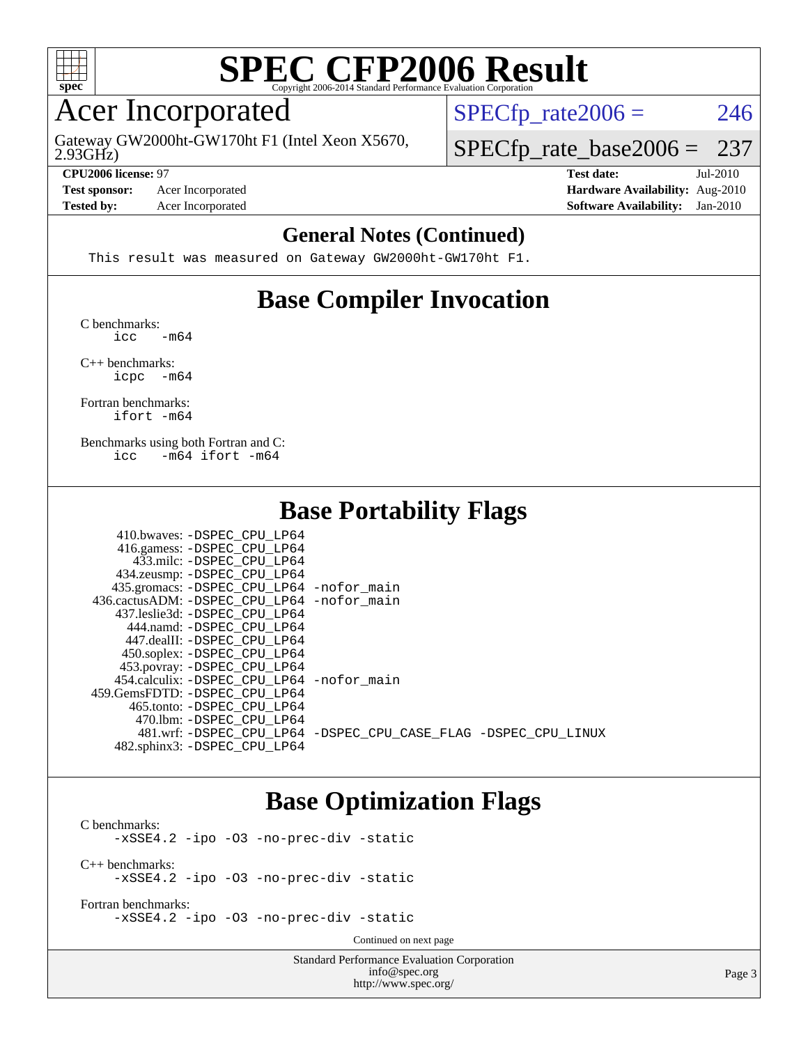

### Acer Incorporated

2.93GHz) Gateway GW2000ht-GW170ht F1 (Intel Xeon X5670,  $SPECTp_rate2006 = 246$ 

[SPECfp\\_rate\\_base2006 =](http://www.spec.org/auto/cpu2006/Docs/result-fields.html#SPECfpratebase2006) 237

**[Tested by:](http://www.spec.org/auto/cpu2006/Docs/result-fields.html#Testedby)** Acer Incorporated **[Software Availability:](http://www.spec.org/auto/cpu2006/Docs/result-fields.html#SoftwareAvailability)** Jan-2010

**[CPU2006 license:](http://www.spec.org/auto/cpu2006/Docs/result-fields.html#CPU2006license)** 97 **[Test date:](http://www.spec.org/auto/cpu2006/Docs/result-fields.html#Testdate)** Jul-2010 **[Test sponsor:](http://www.spec.org/auto/cpu2006/Docs/result-fields.html#Testsponsor)** Acer Incorporated **[Hardware Availability:](http://www.spec.org/auto/cpu2006/Docs/result-fields.html#HardwareAvailability)** Aug-2010

#### **[General Notes \(Continued\)](http://www.spec.org/auto/cpu2006/Docs/result-fields.html#GeneralNotes)**

This result was measured on Gateway GW2000ht-GW170ht F1.

### **[Base Compiler Invocation](http://www.spec.org/auto/cpu2006/Docs/result-fields.html#BaseCompilerInvocation)**

[C benchmarks](http://www.spec.org/auto/cpu2006/Docs/result-fields.html#Cbenchmarks):  $\text{icc}$   $-\text{m64}$ 

[C++ benchmarks:](http://www.spec.org/auto/cpu2006/Docs/result-fields.html#CXXbenchmarks) [icpc -m64](http://www.spec.org/cpu2006/results/res2010q3/cpu2006-20100802-12824.flags.html#user_CXXbase_intel_icpc_64bit_bedb90c1146cab66620883ef4f41a67e)

[Fortran benchmarks](http://www.spec.org/auto/cpu2006/Docs/result-fields.html#Fortranbenchmarks): [ifort -m64](http://www.spec.org/cpu2006/results/res2010q3/cpu2006-20100802-12824.flags.html#user_FCbase_intel_ifort_64bit_ee9d0fb25645d0210d97eb0527dcc06e)

[Benchmarks using both Fortran and C](http://www.spec.org/auto/cpu2006/Docs/result-fields.html#BenchmarksusingbothFortranandC): [icc -m64](http://www.spec.org/cpu2006/results/res2010q3/cpu2006-20100802-12824.flags.html#user_CC_FCbase_intel_icc_64bit_0b7121f5ab7cfabee23d88897260401c) [ifort -m64](http://www.spec.org/cpu2006/results/res2010q3/cpu2006-20100802-12824.flags.html#user_CC_FCbase_intel_ifort_64bit_ee9d0fb25645d0210d97eb0527dcc06e)

### **[Base Portability Flags](http://www.spec.org/auto/cpu2006/Docs/result-fields.html#BasePortabilityFlags)**

| 410.bwaves: -DSPEC CPU LP64                |                                                                |
|--------------------------------------------|----------------------------------------------------------------|
| 416.gamess: -DSPEC_CPU_LP64                |                                                                |
| 433.milc: -DSPEC CPU LP64                  |                                                                |
| 434.zeusmp: -DSPEC_CPU_LP64                |                                                                |
| 435.gromacs: -DSPEC_CPU_LP64 -nofor_main   |                                                                |
| 436.cactusADM: -DSPEC CPU LP64 -nofor main |                                                                |
| 437.leslie3d: -DSPEC CPU LP64              |                                                                |
| 444.namd: -DSPEC CPU LP64                  |                                                                |
| 447.dealII: -DSPEC_CPU LP64                |                                                                |
| 450.soplex: -DSPEC_CPU_LP64                |                                                                |
| 453.povray: -DSPEC_CPU_LP64                |                                                                |
| 454.calculix: -DSPEC CPU LP64 -nofor main  |                                                                |
| 459.GemsFDTD: -DSPEC CPU LP64              |                                                                |
| 465.tonto: -DSPEC CPU LP64                 |                                                                |
| 470.1bm: - DSPEC CPU LP64                  |                                                                |
|                                            | 481.wrf: -DSPEC_CPU_LP64 -DSPEC_CPU_CASE_FLAG -DSPEC_CPU_LINUX |
| 482.sphinx3: -DSPEC CPU LP64               |                                                                |

### **[Base Optimization Flags](http://www.spec.org/auto/cpu2006/Docs/result-fields.html#BaseOptimizationFlags)**

[C benchmarks](http://www.spec.org/auto/cpu2006/Docs/result-fields.html#Cbenchmarks): [-xSSE4.2](http://www.spec.org/cpu2006/results/res2010q3/cpu2006-20100802-12824.flags.html#user_CCbase_f-xSSE42_f91528193cf0b216347adb8b939d4107) [-ipo](http://www.spec.org/cpu2006/results/res2010q3/cpu2006-20100802-12824.flags.html#user_CCbase_f-ipo) [-O3](http://www.spec.org/cpu2006/results/res2010q3/cpu2006-20100802-12824.flags.html#user_CCbase_f-O3) [-no-prec-div](http://www.spec.org/cpu2006/results/res2010q3/cpu2006-20100802-12824.flags.html#user_CCbase_f-no-prec-div) [-static](http://www.spec.org/cpu2006/results/res2010q3/cpu2006-20100802-12824.flags.html#user_CCbase_f-static) [C++ benchmarks:](http://www.spec.org/auto/cpu2006/Docs/result-fields.html#CXXbenchmarks) [-xSSE4.2](http://www.spec.org/cpu2006/results/res2010q3/cpu2006-20100802-12824.flags.html#user_CXXbase_f-xSSE42_f91528193cf0b216347adb8b939d4107) [-ipo](http://www.spec.org/cpu2006/results/res2010q3/cpu2006-20100802-12824.flags.html#user_CXXbase_f-ipo) [-O3](http://www.spec.org/cpu2006/results/res2010q3/cpu2006-20100802-12824.flags.html#user_CXXbase_f-O3) [-no-prec-div](http://www.spec.org/cpu2006/results/res2010q3/cpu2006-20100802-12824.flags.html#user_CXXbase_f-no-prec-div) [-static](http://www.spec.org/cpu2006/results/res2010q3/cpu2006-20100802-12824.flags.html#user_CXXbase_f-static)

[Fortran benchmarks](http://www.spec.org/auto/cpu2006/Docs/result-fields.html#Fortranbenchmarks): [-xSSE4.2](http://www.spec.org/cpu2006/results/res2010q3/cpu2006-20100802-12824.flags.html#user_FCbase_f-xSSE42_f91528193cf0b216347adb8b939d4107) [-ipo](http://www.spec.org/cpu2006/results/res2010q3/cpu2006-20100802-12824.flags.html#user_FCbase_f-ipo) [-O3](http://www.spec.org/cpu2006/results/res2010q3/cpu2006-20100802-12824.flags.html#user_FCbase_f-O3) [-no-prec-div](http://www.spec.org/cpu2006/results/res2010q3/cpu2006-20100802-12824.flags.html#user_FCbase_f-no-prec-div) [-static](http://www.spec.org/cpu2006/results/res2010q3/cpu2006-20100802-12824.flags.html#user_FCbase_f-static)

Continued on next page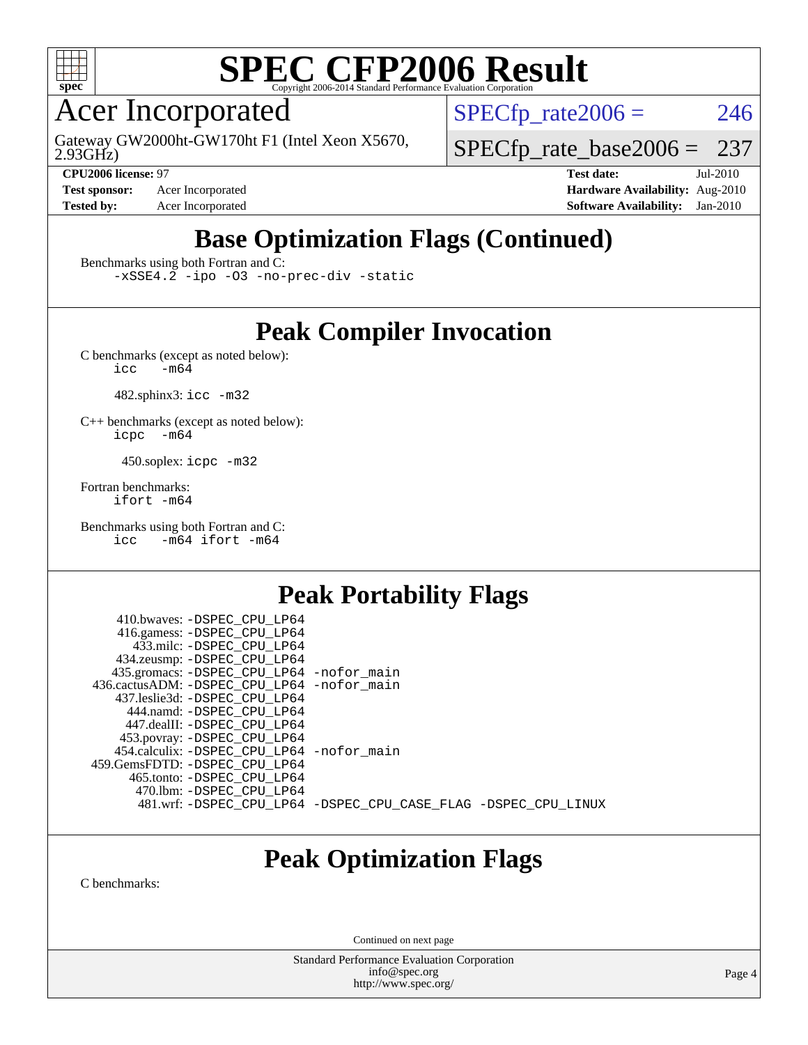

### Acer Incorporated

2.93GHz) Gateway GW2000ht-GW170ht F1 (Intel Xeon X5670,

**[Test sponsor:](http://www.spec.org/auto/cpu2006/Docs/result-fields.html#Testsponsor)** Acer Incorporated **[Hardware Availability:](http://www.spec.org/auto/cpu2006/Docs/result-fields.html#HardwareAvailability)** Aug-2010

 $SPECTp\_rate2006 = 246$ 

[SPECfp\\_rate\\_base2006 =](http://www.spec.org/auto/cpu2006/Docs/result-fields.html#SPECfpratebase2006) 237

**[CPU2006 license:](http://www.spec.org/auto/cpu2006/Docs/result-fields.html#CPU2006license)** 97 **[Test date:](http://www.spec.org/auto/cpu2006/Docs/result-fields.html#Testdate)** Jul-2010 **[Tested by:](http://www.spec.org/auto/cpu2006/Docs/result-fields.html#Testedby)** Acer Incorporated **[Software Availability:](http://www.spec.org/auto/cpu2006/Docs/result-fields.html#SoftwareAvailability)** Jan-2010

## **[Base Optimization Flags \(Continued\)](http://www.spec.org/auto/cpu2006/Docs/result-fields.html#BaseOptimizationFlags)**

[Benchmarks using both Fortran and C](http://www.spec.org/auto/cpu2006/Docs/result-fields.html#BenchmarksusingbothFortranandC):

[-xSSE4.2](http://www.spec.org/cpu2006/results/res2010q3/cpu2006-20100802-12824.flags.html#user_CC_FCbase_f-xSSE42_f91528193cf0b216347adb8b939d4107) [-ipo](http://www.spec.org/cpu2006/results/res2010q3/cpu2006-20100802-12824.flags.html#user_CC_FCbase_f-ipo) [-O3](http://www.spec.org/cpu2006/results/res2010q3/cpu2006-20100802-12824.flags.html#user_CC_FCbase_f-O3) [-no-prec-div](http://www.spec.org/cpu2006/results/res2010q3/cpu2006-20100802-12824.flags.html#user_CC_FCbase_f-no-prec-div) [-static](http://www.spec.org/cpu2006/results/res2010q3/cpu2006-20100802-12824.flags.html#user_CC_FCbase_f-static)

### **[Peak Compiler Invocation](http://www.spec.org/auto/cpu2006/Docs/result-fields.html#PeakCompilerInvocation)**

[C benchmarks \(except as noted below\)](http://www.spec.org/auto/cpu2006/Docs/result-fields.html#Cbenchmarksexceptasnotedbelow):<br> $\frac{1}{\text{CC}}$  -m64  $-m64$ 

482.sphinx3: [icc -m32](http://www.spec.org/cpu2006/results/res2010q3/cpu2006-20100802-12824.flags.html#user_peakCCLD482_sphinx3_intel_icc_32bit_a6a621f8d50482236b970c6ac5f55f93)

[C++ benchmarks \(except as noted below\):](http://www.spec.org/auto/cpu2006/Docs/result-fields.html#CXXbenchmarksexceptasnotedbelow) [icpc -m64](http://www.spec.org/cpu2006/results/res2010q3/cpu2006-20100802-12824.flags.html#user_CXXpeak_intel_icpc_64bit_bedb90c1146cab66620883ef4f41a67e)

450.soplex: [icpc -m32](http://www.spec.org/cpu2006/results/res2010q3/cpu2006-20100802-12824.flags.html#user_peakCXXLD450_soplex_intel_icpc_32bit_4e5a5ef1a53fd332b3c49e69c3330699)

[Fortran benchmarks](http://www.spec.org/auto/cpu2006/Docs/result-fields.html#Fortranbenchmarks): [ifort -m64](http://www.spec.org/cpu2006/results/res2010q3/cpu2006-20100802-12824.flags.html#user_FCpeak_intel_ifort_64bit_ee9d0fb25645d0210d97eb0527dcc06e)

[Benchmarks using both Fortran and C](http://www.spec.org/auto/cpu2006/Docs/result-fields.html#BenchmarksusingbothFortranandC): [icc -m64](http://www.spec.org/cpu2006/results/res2010q3/cpu2006-20100802-12824.flags.html#user_CC_FCpeak_intel_icc_64bit_0b7121f5ab7cfabee23d88897260401c) [ifort -m64](http://www.spec.org/cpu2006/results/res2010q3/cpu2006-20100802-12824.flags.html#user_CC_FCpeak_intel_ifort_64bit_ee9d0fb25645d0210d97eb0527dcc06e)

### **[Peak Portability Flags](http://www.spec.org/auto/cpu2006/Docs/result-fields.html#PeakPortabilityFlags)**

 410.bwaves: [-DSPEC\\_CPU\\_LP64](http://www.spec.org/cpu2006/results/res2010q3/cpu2006-20100802-12824.flags.html#suite_peakPORTABILITY410_bwaves_DSPEC_CPU_LP64) 416.gamess: [-DSPEC\\_CPU\\_LP64](http://www.spec.org/cpu2006/results/res2010q3/cpu2006-20100802-12824.flags.html#suite_peakPORTABILITY416_gamess_DSPEC_CPU_LP64) 433.milc: [-DSPEC\\_CPU\\_LP64](http://www.spec.org/cpu2006/results/res2010q3/cpu2006-20100802-12824.flags.html#suite_peakPORTABILITY433_milc_DSPEC_CPU_LP64) 434.zeusmp: [-DSPEC\\_CPU\\_LP64](http://www.spec.org/cpu2006/results/res2010q3/cpu2006-20100802-12824.flags.html#suite_peakPORTABILITY434_zeusmp_DSPEC_CPU_LP64) 435.gromacs: [-DSPEC\\_CPU\\_LP64](http://www.spec.org/cpu2006/results/res2010q3/cpu2006-20100802-12824.flags.html#suite_peakPORTABILITY435_gromacs_DSPEC_CPU_LP64) [-nofor\\_main](http://www.spec.org/cpu2006/results/res2010q3/cpu2006-20100802-12824.flags.html#user_peakLDPORTABILITY435_gromacs_f-nofor_main) 436.cactusADM: [-DSPEC\\_CPU\\_LP64](http://www.spec.org/cpu2006/results/res2010q3/cpu2006-20100802-12824.flags.html#suite_peakPORTABILITY436_cactusADM_DSPEC_CPU_LP64) [-nofor\\_main](http://www.spec.org/cpu2006/results/res2010q3/cpu2006-20100802-12824.flags.html#user_peakLDPORTABILITY436_cactusADM_f-nofor_main) 437.leslie3d: [-DSPEC\\_CPU\\_LP64](http://www.spec.org/cpu2006/results/res2010q3/cpu2006-20100802-12824.flags.html#suite_peakPORTABILITY437_leslie3d_DSPEC_CPU_LP64) 444.namd: [-DSPEC\\_CPU\\_LP64](http://www.spec.org/cpu2006/results/res2010q3/cpu2006-20100802-12824.flags.html#suite_peakPORTABILITY444_namd_DSPEC_CPU_LP64) 447.dealII: [-DSPEC\\_CPU\\_LP64](http://www.spec.org/cpu2006/results/res2010q3/cpu2006-20100802-12824.flags.html#suite_peakPORTABILITY447_dealII_DSPEC_CPU_LP64) 453.povray: [-DSPEC\\_CPU\\_LP64](http://www.spec.org/cpu2006/results/res2010q3/cpu2006-20100802-12824.flags.html#suite_peakPORTABILITY453_povray_DSPEC_CPU_LP64) 454.calculix: [-DSPEC\\_CPU\\_LP64](http://www.spec.org/cpu2006/results/res2010q3/cpu2006-20100802-12824.flags.html#suite_peakPORTABILITY454_calculix_DSPEC_CPU_LP64) [-nofor\\_main](http://www.spec.org/cpu2006/results/res2010q3/cpu2006-20100802-12824.flags.html#user_peakLDPORTABILITY454_calculix_f-nofor_main) 459.GemsFDTD: [-DSPEC\\_CPU\\_LP64](http://www.spec.org/cpu2006/results/res2010q3/cpu2006-20100802-12824.flags.html#suite_peakPORTABILITY459_GemsFDTD_DSPEC_CPU_LP64) 465.tonto: [-DSPEC\\_CPU\\_LP64](http://www.spec.org/cpu2006/results/res2010q3/cpu2006-20100802-12824.flags.html#suite_peakPORTABILITY465_tonto_DSPEC_CPU_LP64) 470.lbm: [-DSPEC\\_CPU\\_LP64](http://www.spec.org/cpu2006/results/res2010q3/cpu2006-20100802-12824.flags.html#suite_peakPORTABILITY470_lbm_DSPEC_CPU_LP64) 481.wrf: [-DSPEC\\_CPU\\_LP64](http://www.spec.org/cpu2006/results/res2010q3/cpu2006-20100802-12824.flags.html#suite_peakPORTABILITY481_wrf_DSPEC_CPU_LP64) [-DSPEC\\_CPU\\_CASE\\_FLAG](http://www.spec.org/cpu2006/results/res2010q3/cpu2006-20100802-12824.flags.html#b481.wrf_peakCPORTABILITY_DSPEC_CPU_CASE_FLAG) [-DSPEC\\_CPU\\_LINUX](http://www.spec.org/cpu2006/results/res2010q3/cpu2006-20100802-12824.flags.html#b481.wrf_peakCPORTABILITY_DSPEC_CPU_LINUX)

### **[Peak Optimization Flags](http://www.spec.org/auto/cpu2006/Docs/result-fields.html#PeakOptimizationFlags)**

[C benchmarks](http://www.spec.org/auto/cpu2006/Docs/result-fields.html#Cbenchmarks):

Continued on next page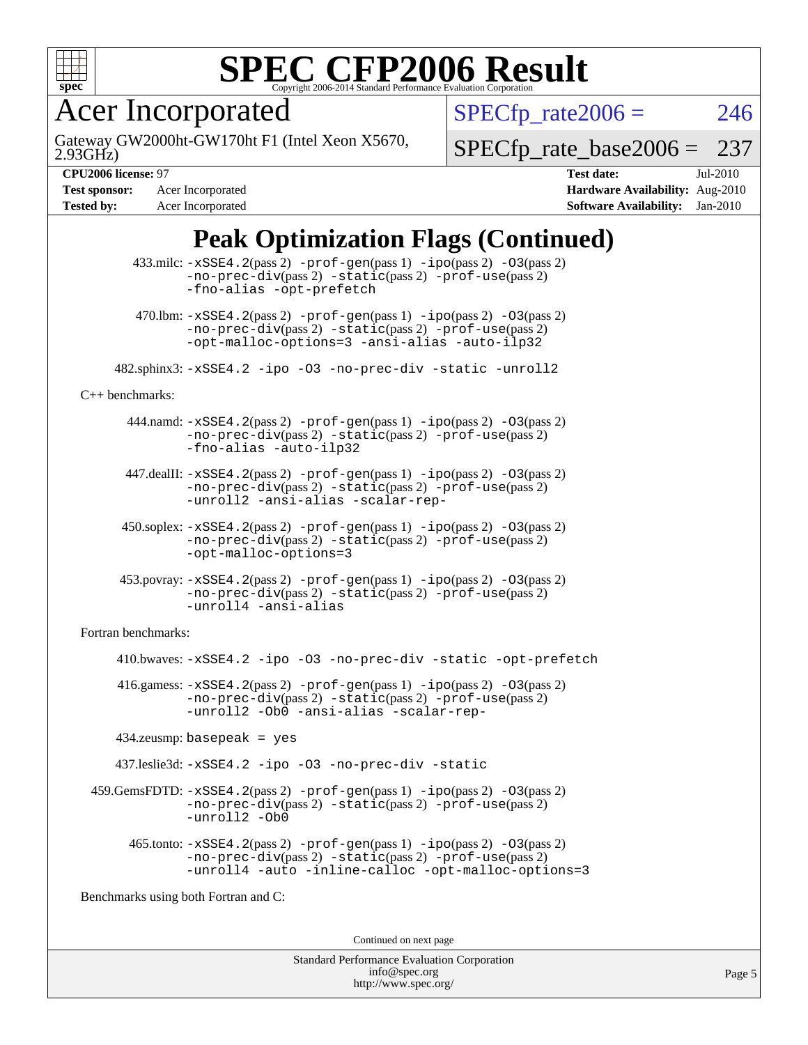

Acer Incorporated

2.93GHz) Gateway GW2000ht-GW170ht F1 (Intel Xeon X5670,  $SPECTp_rate2006 = 246$ 

[SPECfp\\_rate\\_base2006 =](http://www.spec.org/auto/cpu2006/Docs/result-fields.html#SPECfpratebase2006) 237

**[Tested by:](http://www.spec.org/auto/cpu2006/Docs/result-fields.html#Testedby)** Acer Incorporated **[Software Availability:](http://www.spec.org/auto/cpu2006/Docs/result-fields.html#SoftwareAvailability)** Jan-2010

**[CPU2006 license:](http://www.spec.org/auto/cpu2006/Docs/result-fields.html#CPU2006license)** 97 **[Test date:](http://www.spec.org/auto/cpu2006/Docs/result-fields.html#Testdate)** Jul-2010 **[Test sponsor:](http://www.spec.org/auto/cpu2006/Docs/result-fields.html#Testsponsor)** Acer Incorporated **[Hardware Availability:](http://www.spec.org/auto/cpu2006/Docs/result-fields.html#HardwareAvailability)** Aug-2010

### **[Peak Optimization Flags \(Continued\)](http://www.spec.org/auto/cpu2006/Docs/result-fields.html#PeakOptimizationFlags)**

|                                      | $433 \text{.}$ milc: $-xSSE4$ . $2(pass 2)$ -prof-gen $(pass 1)$ -ipo $(pass 2)$ -03 $(pass 2)$<br>$-no\text{-prec-div}(pass 2)$ $-static(pass 2)$ $-prot\text{-use}(pass 2)$<br>-fno-alias -opt-prefetch               |  |  |
|--------------------------------------|-------------------------------------------------------------------------------------------------------------------------------------------------------------------------------------------------------------------------|--|--|
|                                      | 470.1bm: $-xSSE4$ . 2(pass 2) $-prof-gen(pass 1) -ipo(pass 2) -O3(pass 2)$<br>-no-prec-div(pass 2) -static(pass 2) -prof-use(pass 2)<br>-opt-malloc-options=3 -ansi-alias -auto-ilp32                                   |  |  |
|                                      | 482.sphinx3: -xSSE4.2 -ipo -03 -no-prec-div -static -unroll2                                                                                                                                                            |  |  |
| $C++$ benchmarks:                    |                                                                                                                                                                                                                         |  |  |
|                                      | $444$ .namd: $-xSSE4$ . $2(pass 2)$ -prof-gen(pass 1) -ipo(pass 2) -03(pass 2)<br>-no-prec-div(pass 2) -static(pass 2) -prof-use(pass 2)<br>-fno-alias -auto-ilp32                                                      |  |  |
|                                      | $447$ .dealII: $-xSSE4$ . 2(pass 2) $-prof-gen(pass 1) -ipo(pass 2) -03(pass 2)$<br>$-no\text{-prec-div}(pass 2)$ $-static(pass 2)$ $-prot\text{-use}(pass 2)$<br>-unroll2 -ansi-alias -scalar-rep-                     |  |  |
|                                      | $450.\text{soplex: } -x\text{SSE4}.2(\text{pass 2}) - \text{prof-gen}(pass 1) - \text{ipo}(pass 2) - 03(pass 2)$<br>$-no\text{-prec-div}(pass 2)$ $-static(pass 2)$ $-prot\text{-use}(pass 2)$<br>-opt-malloc-options=3 |  |  |
|                                      | $453.$ povray: $-xSSE4.2(pass 2) -prof-gen(pass 1) -ipo(pass 2) -03(pass 2)$<br>$-no\text{-prec-div}(pass 2)$ $-static(pass 2)$ $-prot\text{-use}(pass 2)$<br>-unroll4 -ansi-alias                                      |  |  |
| Fortran benchmarks:                  |                                                                                                                                                                                                                         |  |  |
|                                      | 410.bwaves: -xSSE4.2 -ipo -03 -no-prec-div -static -opt-prefetch                                                                                                                                                        |  |  |
|                                      | 416.gamess: $-xSSE4$ . 2(pass 2) $-prof-gen(pass 1) -ipo(pass 2) -O3(pass 2)$<br>$-no\text{-prec-div}(pass 2)$ $-static(pass 2)$ $-prot\text{-use}(pass 2)$<br>-unroll2 -Ob0 -ansi-alias -scalar-rep-                   |  |  |
| $434$ .zeusmp: basepeak = yes        |                                                                                                                                                                                                                         |  |  |
|                                      | 437.leslie3d: -xSSE4.2 -ipo -03 -no-prec-div -static                                                                                                                                                                    |  |  |
|                                      | $459.GemsFDTD: -xSSE4.2(pass 2) -prof-gen(pass 1) -ipo(pass 2) -03(pass 2)$<br>$-no\text{-prec-div}(pass 2)$ $-static(pass 2)$ $-prot\text{-use}(pass 2)$<br>-unroll2 -Ob0                                              |  |  |
|                                      | 465.tonto: -xSSE4.2(pass 2) -prof-gen(pass 1) -ipo(pass 2) -03(pass 2)<br>-no-prec-div(pass 2) -static(pass 2) -prof-use(pass 2)<br>-unroll4 -auto -inline-calloc -opt-malloc-options=3                                 |  |  |
| Benchmarks using both Fortran and C: |                                                                                                                                                                                                                         |  |  |
| Continued on next page               |                                                                                                                                                                                                                         |  |  |
|                                      |                                                                                                                                                                                                                         |  |  |